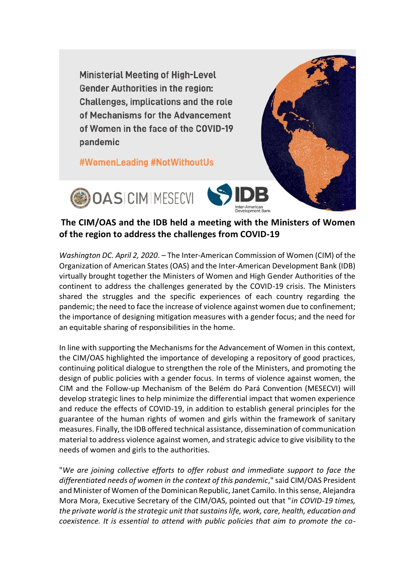**Ministerial Meeting of High-Level Gender Authorities in the region:** Challenges, implications and the role of Mechanisms for the Advancement of Women in the face of the COVID-19 pandemic

#WomenLeading #NotWithoutUs





## **The CIM/OAS and the IDB held a meeting with the Ministers of Women of the region to address the challenges from COVID-19**

*Washington DC. April 2, 2020*. – The Inter-American Commission of Women (CIM) of the Organization of American States (OAS) and the Inter-American Development Bank (IDB) virtually brought together the Ministers of Women and High Gender Authorities of the continent to address the challenges generated by the COVID-19 crisis. The Ministers shared the struggles and the specific experiences of each country regarding the pandemic; the need to face the increase of violence against women due to confinement; the importance of designing mitigation measures with a gender focus; and the need for an equitable sharing of responsibilities in the home.

In line with supporting the Mechanisms for the Advancement of Women in this context, the CIM/OAS highlighted the importance of developing a repository of good practices, continuing political dialogue to strengthen the role of the Ministers, and promoting the design of public policies with a gender focus. In terms of violence against women, the CIM and the Follow-up Mechanism of the Belém do Pará Convention (MESECVI) will develop strategic lines to help minimize the differential impact that women experience and reduce the effects of COVID-19, in addition to establish general principles for the guarantee of the human rights of women and girls within the framework of sanitary measures. Finally, the IDB offered technical assistance, dissemination of communication material to address violence against women, and strategic advice to give visibility to the needs of women and girls to the authorities.

"*We are joining collective efforts to offer robust and immediate support to face the differentiated needs of women in the context of this pandemic*," said CIM/OAS President and Minister of Women of the Dominican Republic, Janet Camilo. In this sense, Alejandra Mora Mora, Executive Secretary of the CIM/OAS, pointed out that "*in COVID-19 times, the private world is the strategic unit that sustains life, work, care, health, education and coexistence. It is essential to attend with public policies that aim to promote the co-*